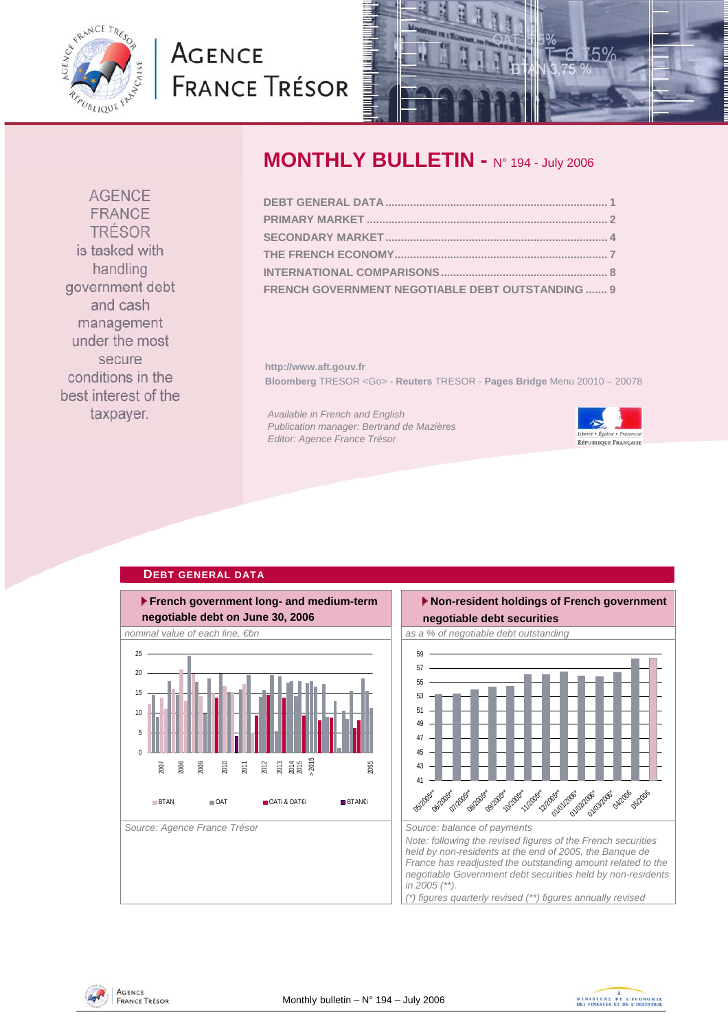<span id="page-0-0"></span>

# **AGENCE FRANCE TRÉSOR**



### **MONTHLY BULLETIN -** N° 194 - July 2006

| FRENCH GOVERNMENT NEGOTIABLE DEBT OUTSTANDING  9 |  |
|--------------------------------------------------|--|

**http://www.aft.gouv.fr Bloomberg** TRESOR <Go> - **Reuters** TRESOR - **Pages Bridge** Menu 20010 – 20078

*Available in French and English Publication manager: Bertrand de Mazières Editor: Agence France Trésor* 



### **DEBT GENERAL DATA**





**AGENCE** FRANCE TRÉSOR



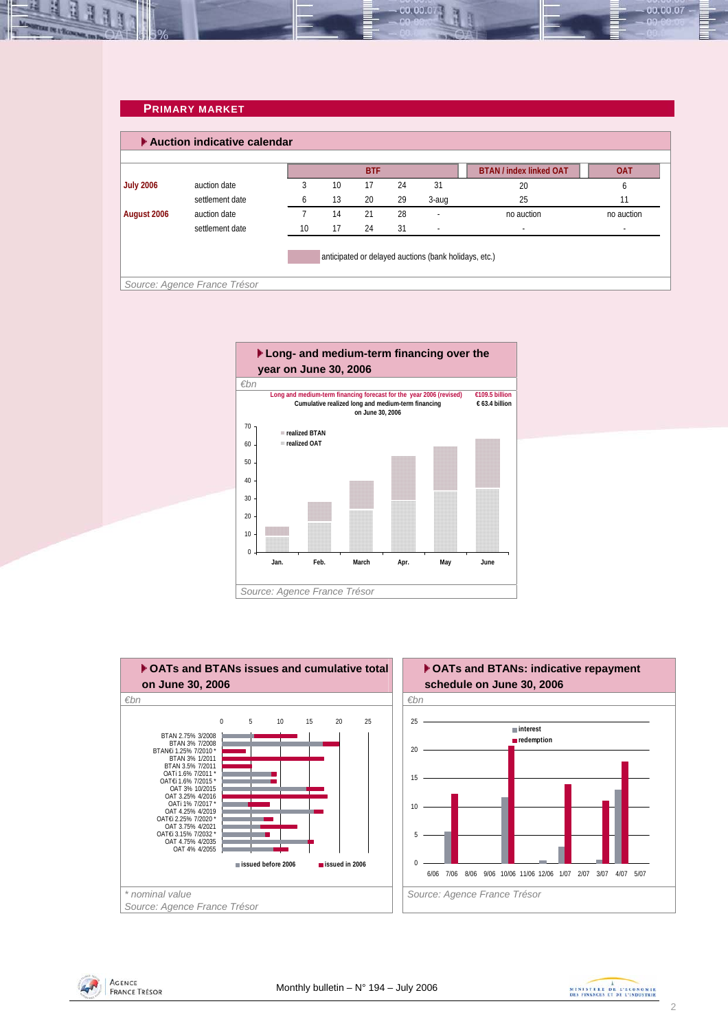#### **PRIMARY MARKET**

<span id="page-1-0"></span>

| Auction indicative calendar |                 |    |    |            |    |        |                                |              |
|-----------------------------|-----------------|----|----|------------|----|--------|--------------------------------|--------------|
|                             |                 |    |    | <b>BTF</b> |    |        | <b>BTAN / index linked OAT</b> | <b>OAT</b>   |
| <b>July 2006</b>            | auction date    | 3  | 10 | 17         | 24 | 31     | 20                             | <sub>6</sub> |
|                             | settlement date | 6  | 13 | 20         | 29 | 3-aug  | 25                             | 11           |
| August 2006                 | auction date    |    | 14 | 21         | 28 | ٠      | no auction                     | no auction   |
|                             | settlement date | 10 | 17 | 24         | 31 | $\sim$ | $\overline{\phantom{a}}$       | $\sim$       |

00.00.0





AGENCE **FRANCE TRÉSOR** 



00.00.07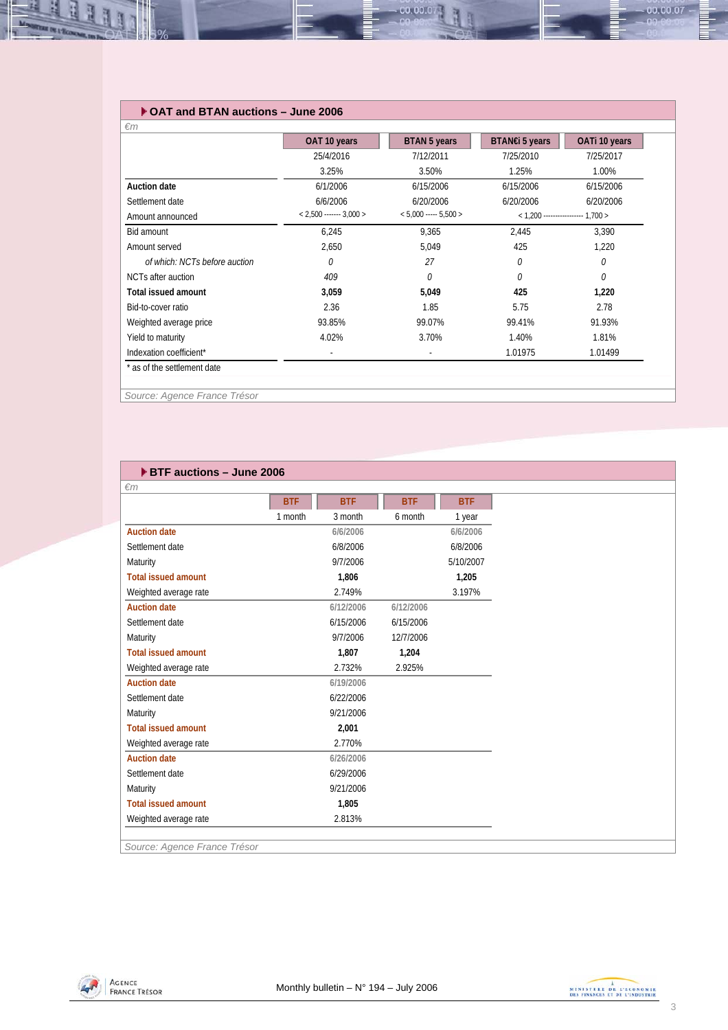#### **OAT and BTAN auctions – June 2006**

|                               | OAT 10 years              | BTAN 5 years             | BTAN€i 5 years | OATi 10 years                       |  |
|-------------------------------|---------------------------|--------------------------|----------------|-------------------------------------|--|
|                               | 25/4/2016                 | 7/12/2011                | 7/25/2010      | 7/25/2017                           |  |
|                               | 3.25%                     | 3.50%                    | 1.25%          | 1.00%                               |  |
| Auction date                  | 6/1/2006                  | 6/15/2006                | 6/15/2006      | 6/15/2006                           |  |
| Settlement date               | 6/6/2006                  | 6/20/2006                | 6/20/2006      | 6/20/2006                           |  |
| Amount announced              | $< 2,500$ ------- 3,000 > | $< 5,000$ ----- 5,500 >  |                | $<$ 1.200 ----------------- 1.700 > |  |
| Bid amount                    | 6,245                     | 9.365                    | 2.445          | 3,390                               |  |
| Amount served                 | 2,650                     | 5,049                    | 425            | 1,220                               |  |
| of which: NCTs before auction | 0                         | 27                       | 0              | 0                                   |  |
| NCTs after auction            | 409                       | 0                        | 0              | 0                                   |  |
| Total issued amount           | 3,059                     | 5,049                    | 425            | 1,220                               |  |
| Bid-to-cover ratio            | 2.36                      | 1.85                     | 5.75           | 2.78                                |  |
| Weighted average price        | 93.85%                    | 99.07%                   | 99.41%         | 91.93%                              |  |
| Yield to maturity             | 4.02%                     | 3.70%                    | 1.40%          | 1.81%                               |  |
| Indexation coefficient*       | $\overline{\phantom{a}}$  | $\overline{\phantom{a}}$ | 1.01975        | 1.01499                             |  |

00.00.0

*Source: Agence France Trésor* 

| ▶ BTF auctions - June 2006   |            |            |            |            |  |  |  |
|------------------------------|------------|------------|------------|------------|--|--|--|
| $\epsilon$ m                 |            |            |            |            |  |  |  |
|                              | <b>BTF</b> | <b>BTF</b> | <b>BTF</b> | <b>BTF</b> |  |  |  |
|                              | 1 month    | 3 month    | 6 month    | 1 year     |  |  |  |
| <b>Auction date</b>          |            | 6/6/2006   |            | 6/6/2006   |  |  |  |
| Settlement date              |            | 6/8/2006   |            | 6/8/2006   |  |  |  |
| Maturity                     |            | 9/7/2006   |            | 5/10/2007  |  |  |  |
| <b>Total issued amount</b>   |            | 1.806      |            | 1,205      |  |  |  |
| Weighted average rate        |            | 2.749%     |            | 3.197%     |  |  |  |
| <b>Auction date</b>          |            | 6/12/2006  | 6/12/2006  |            |  |  |  |
| Settlement date              |            | 6/15/2006  | 6/15/2006  |            |  |  |  |
| Maturity                     |            | 9/7/2006   | 12/7/2006  |            |  |  |  |
| <b>Total issued amount</b>   |            | 1,807      | 1,204      |            |  |  |  |
| Weighted average rate        |            | 2.732%     | 2.925%     |            |  |  |  |
| <b>Auction date</b>          |            | 6/19/2006  |            |            |  |  |  |
| Settlement date              |            | 6/22/2006  |            |            |  |  |  |
| Maturity                     |            | 9/21/2006  |            |            |  |  |  |
| <b>Total issued amount</b>   |            | 2,001      |            |            |  |  |  |
| Weighted average rate        |            | 2.770%     |            |            |  |  |  |
| <b>Auction date</b>          |            | 6/26/2006  |            |            |  |  |  |
| Settlement date              |            | 6/29/2006  |            |            |  |  |  |
| Maturity                     |            | 9/21/2006  |            |            |  |  |  |
| <b>Total issued amount</b>   |            | 1,805      |            |            |  |  |  |
| Weighted average rate        |            | 2.813%     |            |            |  |  |  |
|                              |            |            |            |            |  |  |  |
| Source: Agence France Trésor |            |            |            |            |  |  |  |





00.00.07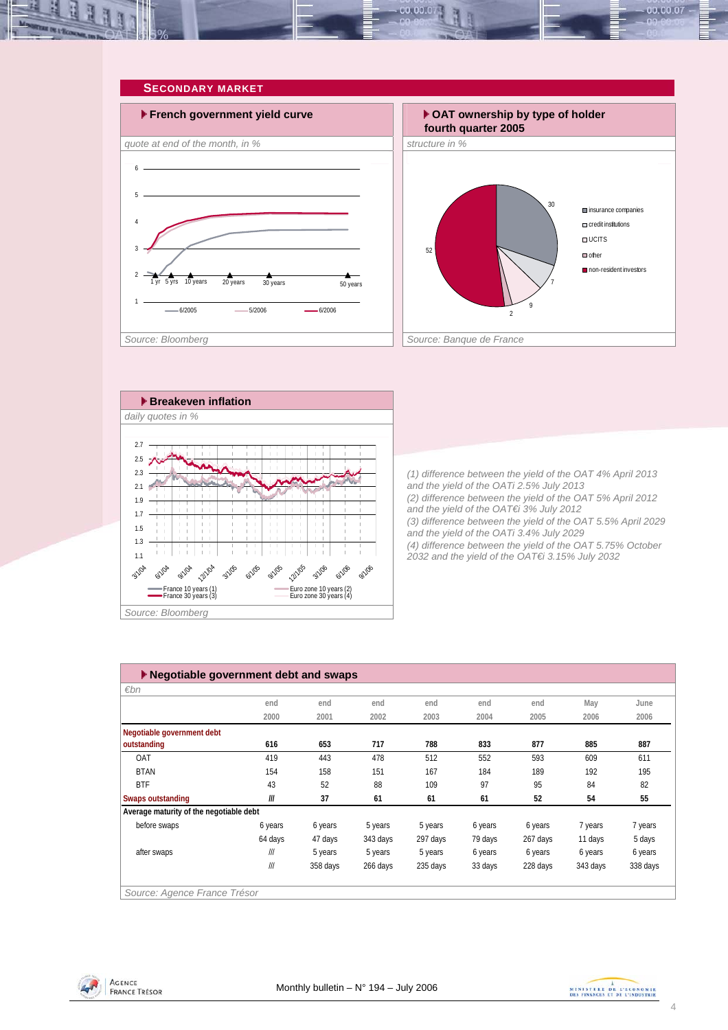<span id="page-3-0"></span>



ţ Ť 12/1/05 **3/1/06 6/1/04** 12/1/04 9/1/05 **6/1/06** 9/1/04 3/1/05 9/1/06 **6/1/05** France 10 years (1) France 30 years (2) France 30 years (3) Euro zone 30 years (4)

*(3) difference between the yield of the OAT 5.5% April 2029 and the yield of the OATi 3.4% July 2029 (4) difference between the yield of the OAT 5.75% October 2032 and the yield of the OAT€i 3.15% July 2032* 

*Source: Bloomberg* 

1.1 1.3

3/1/04

| ▶ Negotiable government debt and swaps  |                         |          |          |          |         |          |          |          |
|-----------------------------------------|-------------------------|----------|----------|----------|---------|----------|----------|----------|
| $\varepsilon$ bn                        |                         |          |          |          |         |          |          |          |
|                                         | end                     | end      | end      | end      | end     | end      | May      | June     |
|                                         | 2000                    | 2001     | 2002     | 2003     | 2004    | 2005     | 2006     | 2006     |
| Negotiable government debt              |                         |          |          |          |         |          |          |          |
| outstanding                             | 616                     | 653      | 717      | 788      | 833     | 877      | 885      | 887      |
| OAT                                     | 419                     | 443      | 478      | 512      | 552     | 593      | 609      | 611      |
| <b>BTAN</b>                             | 154                     | 158      | 151      | 167      | 184     | 189      | 192      | 195      |
| <b>BTF</b>                              | 43                      | 52       | 88       | 109      | 97      | 95       | 84       | 82       |
| <b>Swaps outstanding</b>                | III                     | 37       | 61       | 61       | 61      | 52       | 54       | 55       |
| Average maturity of the negotiable debt |                         |          |          |          |         |          |          |          |
| before swaps                            | 6 years                 | 6 years  | 5 years  | 5 years  | 6 years | 6 years  | 7 years  | 7 years  |
|                                         | 64 days                 | 47 days  | 343 days | 297 days | 79 days | 267 days | 11 days  | 5 days   |
| after swaps                             | $^{\prime\prime\prime}$ | 5 years  | 5 years  | 5 years  | 6 years | 6 years  | 6 years  | 6 years  |
|                                         | III                     | 358 days | 266 days | 235 days | 33 days | 228 days | 343 days | 338 days |
|                                         |                         |          |          |          |         |          |          |          |
| Source: Agence France Trésor            |                         |          |          |          |         |          |          |          |



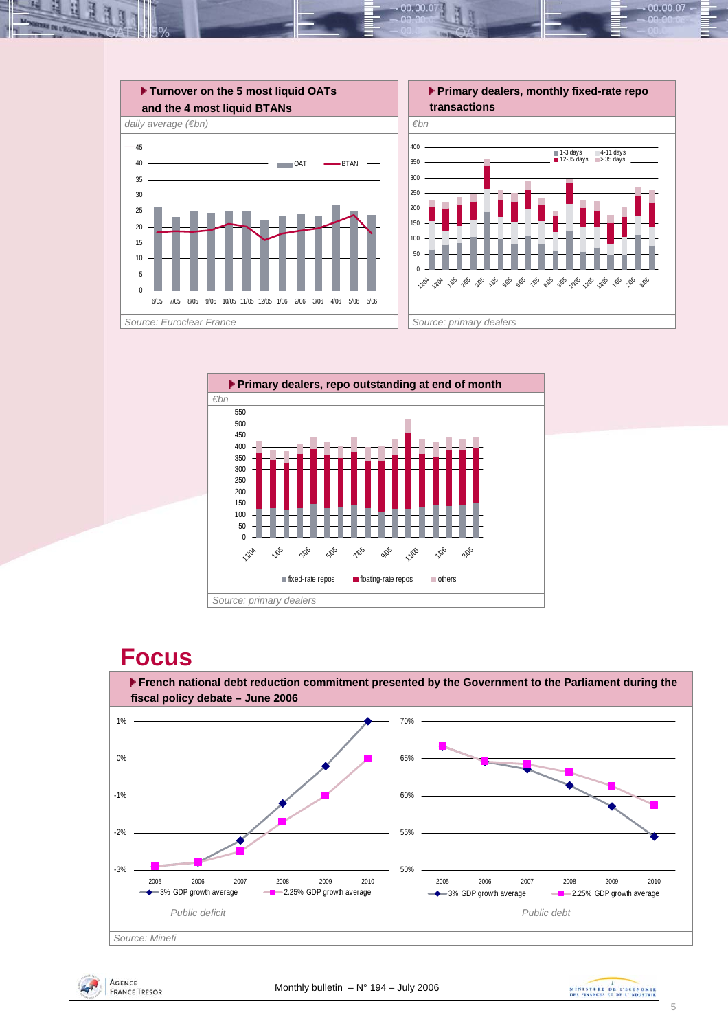



## **Focus**







 $00,00,0$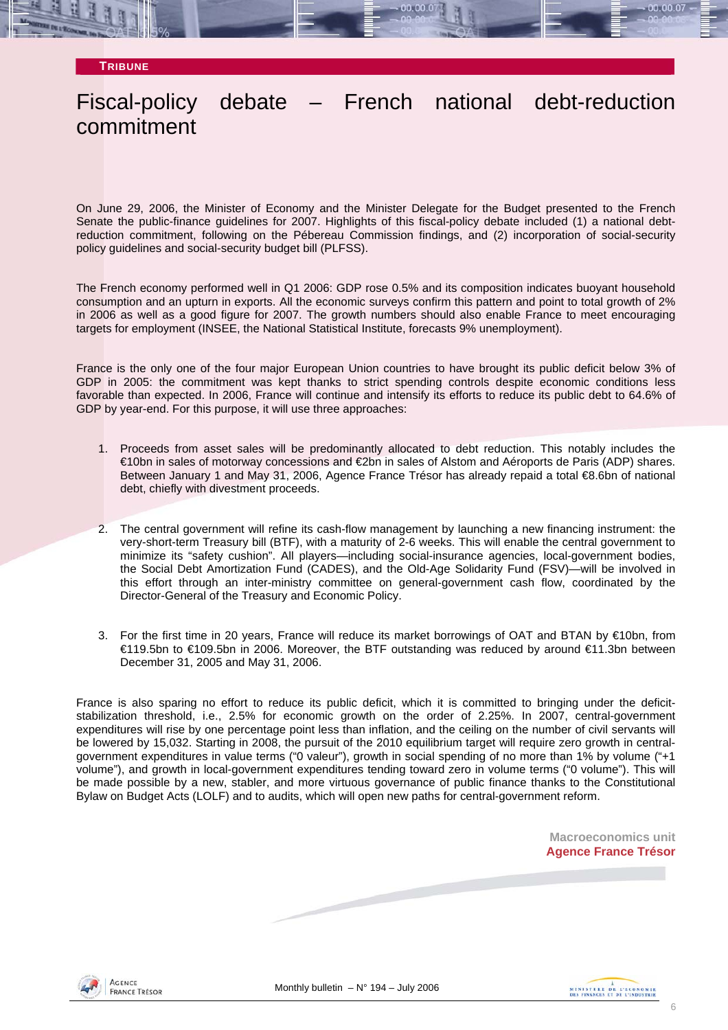**TRIBUNE**

## Fiscal-policy debate – French national debt-reduction commitment

On June 29, 2006, the Minister of Economy and the Minister Delegate for the Budget presented to the French Senate the public-finance guidelines for 2007. Highlights of this fiscal-policy debate included (1) a national debtreduction commitment, following on the Pébereau Commission findings, and (2) incorporation of social-security policy guidelines and social-security budget bill (PLFSS).

The French economy performed well in Q1 2006: GDP rose 0.5% and its composition indicates buoyant household consumption and an upturn in exports. All the economic surveys confirm this pattern and point to total growth of 2% in 2006 as well as a good figure for 2007. The growth numbers should also enable France to meet encouraging targets for employment (INSEE, the National Statistical Institute, forecasts 9% unemployment).

France is the only one of the four major European Union countries to have brought its public deficit below 3% of GDP in 2005: the commitment was kept thanks to strict spending controls despite economic conditions less favorable than expected. In 2006, France will continue and intensify its efforts to reduce its public debt to 64.6% of GDP by year-end. For this purpose, it will use three approaches:

- 1. Proceeds from asset sales will be predominantly allocated to debt reduction. This notably includes the €10bn in sales of motorway concessions and €2bn in sales of Alstom and Aéroports de Paris (ADP) shares. Between January 1 and May 31, 2006, Agence France Trésor has already repaid a total €8.6bn of national debt, chiefly with divestment proceeds.
- 2. The central government will refine its cash-flow management by launching a new financing instrument: the very-short-term Treasury bill (BTF), with a maturity of 2-6 weeks. This will enable the central government to minimize its "safety cushion". All players—including social-insurance agencies, local-government bodies, the Social Debt Amortization Fund (CADES), and the Old-Age Solidarity Fund (FSV)—will be involved in this effort through an inter-ministry committee on general-government cash flow, coordinated by the Director-General of the Treasury and Economic Policy.
- 3. For the first time in 20 years, France will reduce its market borrowings of OAT and BTAN by €10bn, from €119.5bn to €109.5bn in 2006. Moreover, the BTF outstanding was reduced by around €11.3bn between December 31, 2005 and May 31, 2006.

France is also sparing no effort to reduce its public deficit, which it is committed to bringing under the deficitstabilization threshold, i.e., 2.5% for economic growth on the order of 2.25%. In 2007, central-government expenditures will rise by one percentage point less than inflation, and the ceiling on the number of civil servants will be lowered by 15,032. Starting in 2008, the pursuit of the 2010 equilibrium target will require zero growth in centralgovernment expenditures in value terms ("0 valeur"), growth in social spending of no more than 1% by volume ("+1 volume"), and growth in local-government expenditures tending toward zero in volume terms ("0 volume"). This will be made possible by a new, stabler, and more virtuous governance of public finance thanks to the Constitutional Bylaw on Budget Acts (LOLF) and to audits, which will open new paths for central-government reform.

> **Macroeconomics unit Agence France Trésor**



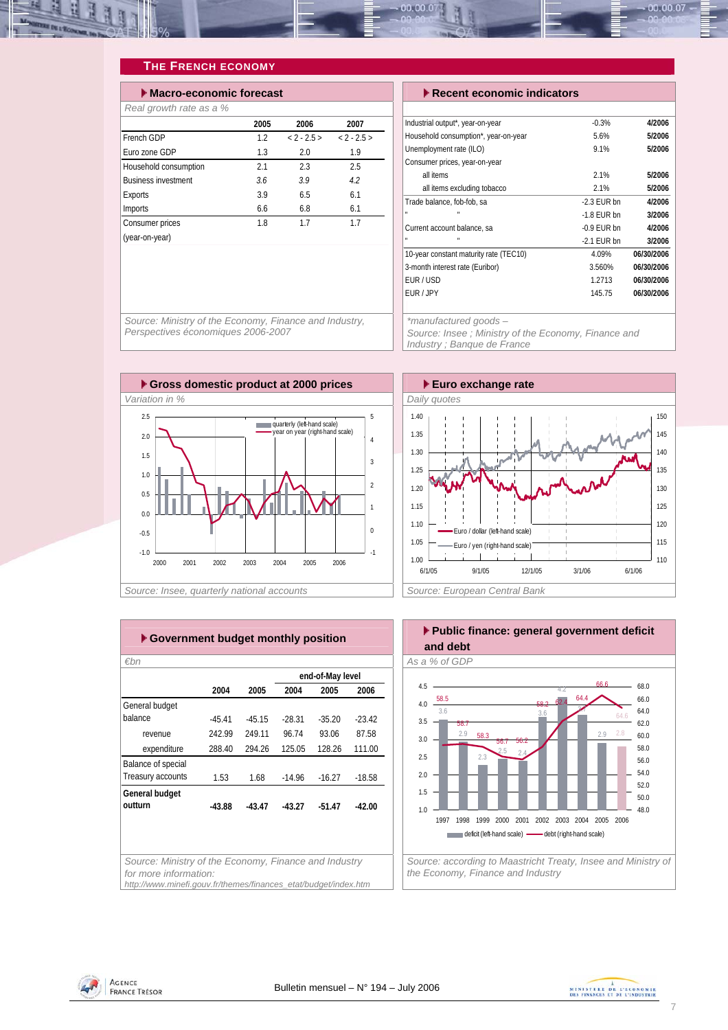<span id="page-6-0"></span>

### **THE FRENCH ECONOMY**

| Macro-economic forecast    |      | $\blacktriangleright$ Recent economic indicators |          |                                      |
|----------------------------|------|--------------------------------------------------|----------|--------------------------------------|
| Real growth rate as a %    |      |                                                  |          |                                      |
|                            | 2005 | 2006                                             | 2007     | Industrial output*, year-on-year     |
| French GDP                 | 1.2  | $< 2 - 2.5 >$                                    | $2 - 25$ | Household consumption*, year-on-year |
| Furo zone GDP              | 1.3  | 2.0                                              | 1.9      | Unemployment rate (ILO)              |
| Household consumption      | 2.1  | 2.3                                              | 2.5      | Consumer prices, year-on-year        |
| <b>Business investment</b> | 3.6  | 3.9                                              | 4.2      | all items                            |
| Exports                    | 3.9  | 6.5                                              | 6.1      | all items excluding tobacco          |
| Imports                    | 6.6  | 6.8                                              | 6.1      | Trade balance, fob-fob, sa<br>n      |
| Consumer prices            | 1.8  | 1.7                                              | 1.7      | Current account balance, sa          |
| (year-on-year)             |      |                                                  |          |                                      |

| $\blacktriangleright$ Recent economic indicators    |               |            |  |  |  |  |
|-----------------------------------------------------|---------------|------------|--|--|--|--|
|                                                     |               |            |  |  |  |  |
| Industrial output*, year-on-year                    | $-0.3%$       | 4/2006     |  |  |  |  |
| Household consumption*, year-on-year                | 5.6%          | 5/2006     |  |  |  |  |
| Unemployment rate (ILO)                             | 9.1%          | 5/2006     |  |  |  |  |
| Consumer prices, year-on-year                       |               |            |  |  |  |  |
| all items                                           | 2.1%          | 5/2006     |  |  |  |  |
| all items excluding tobacco                         | 2.1%          | 5/2006     |  |  |  |  |
| Trade balance, fob-fob, sa                          | $-2.3$ FUR bn | 4/2006     |  |  |  |  |
|                                                     | $-1.8$ FUR bn | 3/2006     |  |  |  |  |
| Current account balance, sa                         | $-0.9$ EUR bn | 4/2006     |  |  |  |  |
|                                                     | $-2.1$ EUR bn | 3/2006     |  |  |  |  |
| 10-year constant maturity rate (TEC10)              | 4.09%         | 06/30/2006 |  |  |  |  |
| 3-month interest rate (Euribor)                     | 3.560%        | 06/30/2006 |  |  |  |  |
| EUR/USD                                             | 1.2713        | 06/30/2006 |  |  |  |  |
| EUR / JPY                                           | 145.75        | 06/30/2006 |  |  |  |  |
|                                                     |               |            |  |  |  |  |
| *manufactured goods -                               |               |            |  |  |  |  |
| Source: Insee; Ministry of the Economy, Finance and |               |            |  |  |  |  |
| Industry; Banque de France                          |               |            |  |  |  |  |

*Source: Ministry of the Economy, Finance and Industry, Perspectives économiques 2006-2007* 





|                    |          |          |          | end-of-May level |          |  |  |
|--------------------|----------|----------|----------|------------------|----------|--|--|
|                    | 2004     | 2005     | 2004     | 2005             | 2006     |  |  |
| General budget     |          |          |          |                  |          |  |  |
| balance            | $-45.41$ | $-45.15$ | $-28.31$ | $-35.20$         | $-23.42$ |  |  |
| revenue            | 242.99   | 249.11   | 96.74    | 93.06            | 87.58    |  |  |
| expenditure        | 288.40   | 294.26   | 125.05   | 128.26           | 111.00   |  |  |
| Balance of special |          |          |          |                  |          |  |  |
| Treasury accounts  | 1.53     | 1.68     | $-14.96$ | $-16.27$         | $-18.58$ |  |  |
| General budget     |          |          |          |                  |          |  |  |
| outturn            | $-43.88$ | $-43.47$ | $-43.27$ | $-51.47$         | $-42.00$ |  |  |
|                    |          |          |          |                  |          |  |  |
|                    |          |          |          |                  |          |  |  |
|                    |          |          |          |                  |          |  |  |



*Source: according to Maastricht Treaty, Insee and Ministry of the Economy, Finance and Industry* 



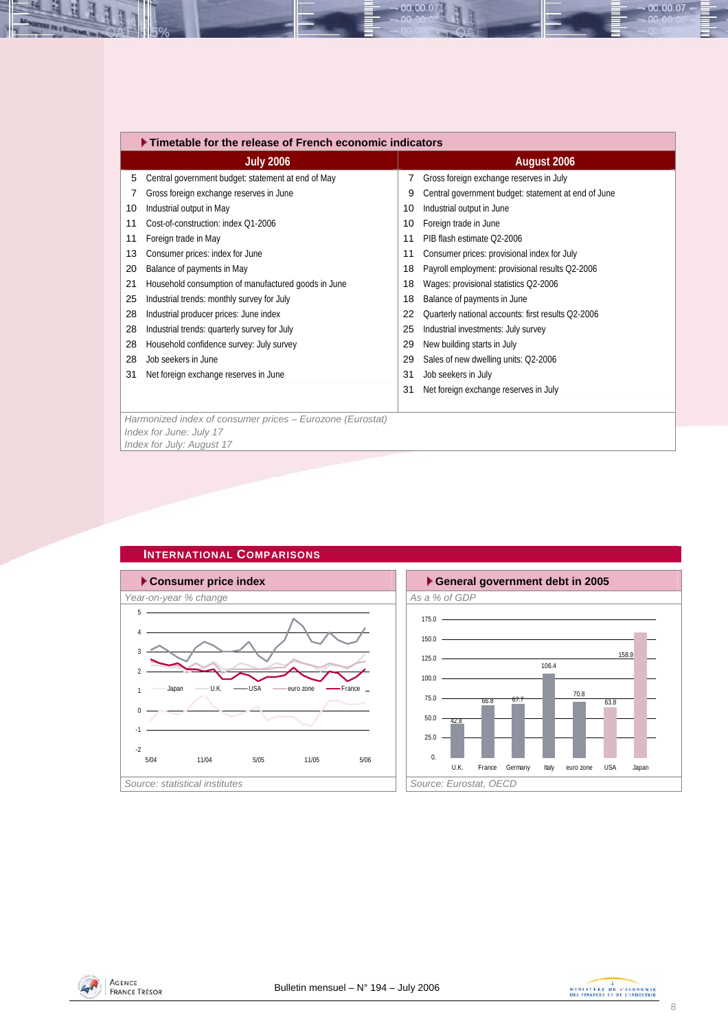|    | ▶ Timetable for the release of French economic indicators                            |    |                                                     |  |  |  |  |  |
|----|--------------------------------------------------------------------------------------|----|-----------------------------------------------------|--|--|--|--|--|
|    | <b>July 2006</b>                                                                     |    | August 2006                                         |  |  |  |  |  |
| 5  | Central government budget: statement at end of May                                   | 7  | Gross foreign exchange reserves in July             |  |  |  |  |  |
|    | Gross foreign exchange reserves in June                                              | 9  | Central government budget: statement at end of June |  |  |  |  |  |
| 10 | Industrial output in May                                                             | 10 | Industrial output in June                           |  |  |  |  |  |
| 11 | Cost-of-construction: index Q1-2006                                                  | 10 | Foreign trade in June                               |  |  |  |  |  |
| 11 | Foreign trade in May                                                                 | 11 | PIB flash estimate Q2-2006                          |  |  |  |  |  |
| 13 | Consumer prices: index for June                                                      | 11 | Consumer prices: provisional index for July         |  |  |  |  |  |
| 20 | Balance of payments in May                                                           | 18 | Payroll employment: provisional results Q2-2006     |  |  |  |  |  |
| 21 | Household consumption of manufactured goods in June                                  | 18 | Wages: provisional statistics Q2-2006               |  |  |  |  |  |
| 25 | Industrial trends: monthly survey for July                                           | 18 | Balance of payments in June                         |  |  |  |  |  |
| 28 | Industrial producer prices: June index                                               | 22 | Quarterly national accounts: first results Q2-2006  |  |  |  |  |  |
| 28 | Industrial trends: quarterly survey for July                                         | 25 | Industrial investments: July survey                 |  |  |  |  |  |
| 28 | Household confidence survey: July survey                                             | 29 | New building starts in July                         |  |  |  |  |  |
| 28 | Job seekers in June                                                                  | 29 | Sales of new dwelling units: Q2-2006                |  |  |  |  |  |
| 31 | Net foreign exchange reserves in June                                                | 31 | Job seekers in July                                 |  |  |  |  |  |
|    |                                                                                      | 31 | Net foreign exchange reserves in July               |  |  |  |  |  |
|    |                                                                                      |    |                                                     |  |  |  |  |  |
|    | Harmonized index of consumer prices - Eurozone (Eurostat)<br>Index for June: July 17 |    |                                                     |  |  |  |  |  |

00.00.0

*Index for June: July 17 Index for July: August 17* 



### **INTERNATIONAL COMPARISONS**



<span id="page-7-0"></span>H

H



00.00.07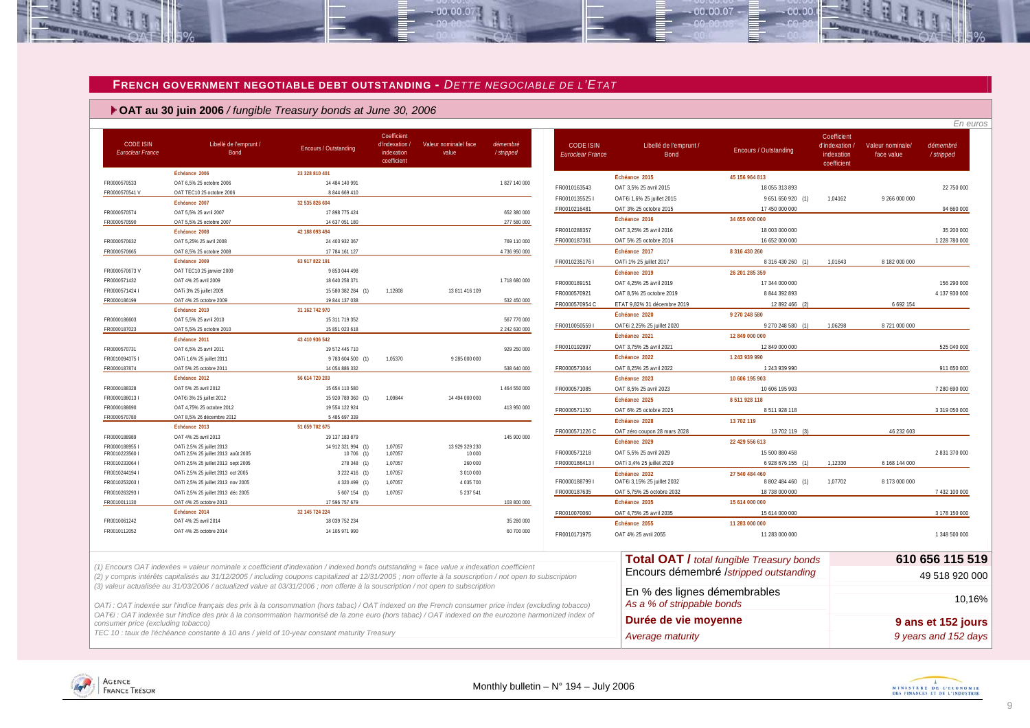#### **FRENCH GOVERNMENT NEGOTIABLE DEBT OUTSTANDING -** *DETTE NEGOCIABLE DE L'ETAT*

 $-00.00.07$ 

 **OAT au 30 juin 2006** */ fungible Treasury bonds at June 30, 2006*

| <b>CODE ISIN</b><br><b>Euroclear France</b> | Libellé de l'emprunt /<br>Bond                                                                                                                                                                                                                                                                                                                    | Encours / Outstanding            | Coefficient<br>d'indexation.<br>indexation<br>coefficient | Valeur nominale/ face<br>value | démembré<br>/ stripped | <b>CODE ISIN</b><br>Euroclear France | Libellé de l'emprunt /<br>Bond                             | <b>Encours / Outstanding</b>                     | Coefficient<br>d'indexation /<br>indexation<br>coefficient | Valeur nominale/<br>face value | démembré<br>/stripped |
|---------------------------------------------|---------------------------------------------------------------------------------------------------------------------------------------------------------------------------------------------------------------------------------------------------------------------------------------------------------------------------------------------------|----------------------------------|-----------------------------------------------------------|--------------------------------|------------------------|--------------------------------------|------------------------------------------------------------|--------------------------------------------------|------------------------------------------------------------|--------------------------------|-----------------------|
|                                             | Échéance 2006                                                                                                                                                                                                                                                                                                                                     | 23 328 810 401                   |                                                           |                                |                        |                                      | Échéance 2015                                              | 45 156 964 813                                   |                                                            |                                |                       |
| FR0000570533                                | OAT 6,5% 25 octobre 2006                                                                                                                                                                                                                                                                                                                          | 14 484 140 991                   |                                                           |                                | 1827 140 000           | FR0010163543                         | OAT 3,5% 25 avril 2015                                     | 18 055 313 893                                   |                                                            |                                | 22 750 000            |
| FR0000570541V                               | OAT TEC10 25 octobre 2006                                                                                                                                                                                                                                                                                                                         | 8 844 669 410                    |                                                           |                                |                        | FR0010135525                         | OAT€i 1,6% 25 juillet 2015                                 | 9 651 650 920 (1)                                | 1.04162                                                    | 9 266 000 000                  |                       |
|                                             | Échéance 2007                                                                                                                                                                                                                                                                                                                                     | 32 535 826 604                   |                                                           |                                |                        | FR0010216481                         | OAT 3% 25 octobre 2015                                     | 17 450 000 000                                   |                                                            |                                | 94 660 000            |
| FR0000570574                                | OAT 5.5% 25 avril 2007                                                                                                                                                                                                                                                                                                                            | 17 898 775 424                   |                                                           |                                | 652 380 000            |                                      | Échéance 2016                                              | 34 655 000 000                                   |                                                            |                                |                       |
| FR0000570590                                | OAT 5.5% 25 octobre 2007                                                                                                                                                                                                                                                                                                                          | 14 637 051 180                   |                                                           |                                | 277 580 000            |                                      |                                                            |                                                  |                                                            |                                |                       |
|                                             | Échéance 2008                                                                                                                                                                                                                                                                                                                                     | 42 188 093 494                   |                                                           |                                |                        | FR0010288357                         | OAT 3,25% 25 avril 2016                                    | 18 003 000 000                                   |                                                            |                                | 35 200 000            |
| FR0000570632                                | OAT 5.25% 25 avril 2008                                                                                                                                                                                                                                                                                                                           | 24 403 932 367                   |                                                           |                                | 769 110 000            | FR0000187361                         | OAT 5% 25 octobre 2016                                     | 16 652 000 000                                   |                                                            |                                | 1 228 780 000         |
| FR0000570665                                | OAT 8,5% 25 octobre 2008                                                                                                                                                                                                                                                                                                                          | 17 784 161 127                   |                                                           |                                | 4 736 950 000          |                                      | Échéance 2017                                              | 8 316 430 260                                    |                                                            |                                |                       |
|                                             | Échéance 2009                                                                                                                                                                                                                                                                                                                                     | 63 917 822 191                   |                                                           |                                |                        | FR00102351761                        | OATi 1% 25 juillet 2017                                    | 8 316 430 260 (1)                                | 1.01643                                                    | 8 182 000 000                  |                       |
| FR0000570673V                               | OAT TEC10 25 janvier 2009                                                                                                                                                                                                                                                                                                                         | 9 853 044 498                    |                                                           |                                |                        |                                      | Échéance 2019                                              | 26 201 285 359                                   |                                                            |                                |                       |
| FR0000571432                                | OAT 4% 25 avril 2009                                                                                                                                                                                                                                                                                                                              | 18 640 258 371                   |                                                           |                                | 1718 680 000           | FR0000189151                         | OAT 4,25% 25 avril 2019                                    | 17 344 000 000                                   |                                                            |                                | 156 290 000           |
| FR00005714241                               | OATi 3% 25 juillet 2009                                                                                                                                                                                                                                                                                                                           | 15 580 382 284 (1)               | 1.12808                                                   | 13 811 416 109                 |                        | FR0000570921                         | OAT 8,5% 25 octobre 2019                                   | 8 844 392 893                                    |                                                            |                                | 4 137 930 000         |
| FR0000186199                                | OAT 4% 25 octobre 2009<br>Échéance 2010                                                                                                                                                                                                                                                                                                           | 19 844 137 038                   |                                                           |                                | 532 450 000            | FR0000570954 C                       | ETAT 9,82% 31 décembre 2019                                | 12 892 466                                       |                                                            | 6 692 154                      |                       |
|                                             | OAT 5.5% 25 avril 2010                                                                                                                                                                                                                                                                                                                            | 31 162 742 970<br>15 311 719 352 |                                                           |                                | 567 770 000            |                                      | Échéance 2020                                              | 9 270 248 580                                    |                                                            |                                |                       |
| FR0000186603<br>FR0000187023                | OAT 5,5% 25 octobre 2010                                                                                                                                                                                                                                                                                                                          | 15 851 023 618                   |                                                           |                                | 2 242 630 000          | FR00100505591                        | OAT€i 2,25% 25 juillet 2020                                | 9 270 248 580 (1)                                | 1.06298                                                    | 8 721 000 000                  |                       |
|                                             | Échéance 2011                                                                                                                                                                                                                                                                                                                                     | 43 410 936 542                   |                                                           |                                |                        |                                      | Échéance 2021                                              | 12 849 000 000                                   |                                                            |                                |                       |
| FR0000570731                                | OAT 6,5% 25 avril 2011                                                                                                                                                                                                                                                                                                                            | 19 572 445 710                   |                                                           |                                | 929 250 000            | FR0010192997                         | OAT 3,75% 25 avril 2021                                    | 12 849 000 000                                   |                                                            |                                | 525 040 000           |
| FR00100943751                               | OATi 1,6% 25 juillet 2011                                                                                                                                                                                                                                                                                                                         | 9 783 604 500 (1)                | 1,05370                                                   | 9 285 000 000                  |                        |                                      | Échéance 2022                                              | 1 243 939 990                                    |                                                            |                                |                       |
| FR0000187874                                | OAT 5% 25 octobre 2011                                                                                                                                                                                                                                                                                                                            | 14 054 886 332                   |                                                           |                                | 538 640 000            | FR0000571044                         | OAT 8.25% 25 avril 2022                                    | 1 243 939 990                                    |                                                            |                                | 911 650 000           |
|                                             | Échéance 2012                                                                                                                                                                                                                                                                                                                                     | 56 614 720 203                   |                                                           |                                |                        |                                      | Échéance 2023                                              | 10 606 195 903                                   |                                                            |                                |                       |
| FR0000188328                                | OAT 5% 25 avril 2012                                                                                                                                                                                                                                                                                                                              | 15 654 110 580                   |                                                           |                                | 1464 550 000           | FR0000571085                         | OAT 8,5% 25 avril 2023                                     | 10 606 195 903                                   |                                                            |                                | 7 280 690 000         |
| FR00001880131                               | OATEi 3% 25 juillet 2012                                                                                                                                                                                                                                                                                                                          | 15 920 789 360 (1)               | 1,09844                                                   | 14 494 000 000                 |                        |                                      | Échéance 2025                                              | 8 511 928 118                                    |                                                            |                                |                       |
| FR0000188690                                | OAT 4,75% 25 octobre 2012                                                                                                                                                                                                                                                                                                                         | 19 554 122 924                   |                                                           |                                | 413 950 000            | FR0000571150                         | OAT 6% 25 octobre 2025                                     | 8 5 1 9 2 8 1 1 8                                |                                                            |                                |                       |
| FR0000570780                                | OAT 8.5% 26 décembre 2012                                                                                                                                                                                                                                                                                                                         | 5 485 697 339                    |                                                           |                                |                        |                                      |                                                            |                                                  |                                                            |                                | 3 319 050 000         |
|                                             | Échéance 2013                                                                                                                                                                                                                                                                                                                                     | 51 659 702 675                   |                                                           |                                |                        |                                      | Échéance 2028                                              | 13 702 119                                       |                                                            |                                |                       |
| FR0000188989                                | OAT 4% 25 avril 2013                                                                                                                                                                                                                                                                                                                              | 19 137 183 879                   |                                                           |                                | 145 900 000            | FR0000571226 C                       | OAT zéro coupon 28 mars 2028                               | 13 702 119 (3)                                   |                                                            | 46 232 603                     |                       |
| FR00001889551                               | OATi 2,5% 25 juillet 2013                                                                                                                                                                                                                                                                                                                         | 14 912 321 994 (1)               | 1,07057                                                   | 13 929 329 230                 |                        |                                      | Échéance 2029                                              | 22 429 556 613                                   |                                                            |                                |                       |
| FR00102235601                               | OATi 2,5% 25 juillet 2013 août 2005                                                                                                                                                                                                                                                                                                               | 10 706 (1)                       | 1,07057                                                   | 10 000                         |                        | FR0000571218                         | OAT 5.5% 25 avril 2029                                     | 15 500 880 458                                   |                                                            |                                | 2 831 370 000         |
| FR00102330641                               | OATi 2,5% 25 juillet 2013 sept 2005                                                                                                                                                                                                                                                                                                               | 278 348 (1)                      | 1,07057                                                   | 260 000                        |                        | FR0000186413 I                       | OATi 3,4% 25 juillet 2029                                  | 6 928 676 155 (1)                                | 1,12330                                                    | 6 168 144 000                  |                       |
| FR00102441941                               | OATi 2,5% 25 juillet 2013 oct 2005                                                                                                                                                                                                                                                                                                                | 3 222 416 (1)                    | 1.07057                                                   | 3 010 000                      |                        |                                      | Échéance 2032                                              | 27 540 484 460                                   |                                                            |                                |                       |
| FR00102532031                               | OATi 2,5% 25 juillet 2013 nov 2005                                                                                                                                                                                                                                                                                                                | 4 320 499 (1)                    | 1,07057                                                   | 4 035 700                      |                        | FR0000188799 I                       | OAT€i 3,15% 25 juillet 2032                                | 8 802 484 460 (1)                                | 1,07702                                                    | 8 173 000 000                  |                       |
| FR00102632931                               | OATi 2,5% 25 juillet 2013 déc 2005                                                                                                                                                                                                                                                                                                                | 5 607 154 (1)                    | 1,07057                                                   | 5 237 541                      |                        | FR0000187635                         | OAT 5,75% 25 octobre 2032                                  | 18 738 000 000                                   |                                                            |                                | 7 432 100 000         |
| FR0010011130                                | OAT 4% 25 octobre 2013                                                                                                                                                                                                                                                                                                                            | 17 596 757 679                   |                                                           |                                | 103 800 000            |                                      | Échéance 2035                                              | 15 614 000 000                                   |                                                            |                                |                       |
| FR0010061242                                | Échéance 2014<br>OAT 4% 25 avril 2014                                                                                                                                                                                                                                                                                                             | 32 145 724 224<br>18 039 752 234 |                                                           |                                | 35 280 000             | FR0010070060                         | OAT 4,75% 25 avril 2035                                    | 15 614 000 000                                   |                                                            |                                | 3 178 150 000         |
| FR0010112052                                | OAT 4% 25 octobre 2014                                                                                                                                                                                                                                                                                                                            | 14 105 971 990                   |                                                           |                                |                        |                                      | Échéance 2055                                              | 11 283 000 000                                   |                                                            |                                |                       |
|                                             |                                                                                                                                                                                                                                                                                                                                                   |                                  |                                                           |                                | 60 700 000             | FR0010171975                         | OAT 4% 25 avril 2055                                       | 11 283 000 000                                   |                                                            |                                | 1 348 500 000         |
|                                             |                                                                                                                                                                                                                                                                                                                                                   |                                  |                                                           |                                |                        |                                      |                                                            | <b>Total OAT / total fungible Treasury bonds</b> |                                                            |                                | 610 656 115 519       |
|                                             | (1) Encours OAT indexées = valeur nominale x coefficient d'indexation / indexed bonds outstanding = face value x indexation coefficient<br>(2) y compris intérêts capitalisés au 31/12/2005 / including coupons capitalized at 12/31/2005; non offerte à la souscription / not open to subscription                                               |                                  |                                                           |                                |                        |                                      |                                                            | Encours démembré /stripped outstanding           |                                                            |                                | 49 518 920 000        |
|                                             | (3) valeur actualisée au 31/03/2006 / actualized value at 03/31/2006 ; non offerte à la souscription / not open to subscription                                                                                                                                                                                                                   |                                  |                                                           |                                |                        |                                      | En % des lignes démembrables<br>As a % of strippable bonds |                                                  |                                                            |                                | 10.16%                |
|                                             | OATi: OAT indexée sur l'indice français des prix à la consommation (hors tabac) / OAT indexed on the French consumer price index (excluding tobacco)<br>OATEI: OAT indexée sur l'indice des prix à la consommation harmonisé de la zone euro (hors tabac) / OAT indexed on the eurozone harmonized index of<br>consumer price (excluding tobacco) |                                  |                                                           |                                |                        |                                      | Durée de vie moyenne                                       |                                                  |                                                            |                                | 9 ans et 152 jours    |

00.00.07

 $00.00.$ 



<span id="page-8-0"></span>

Æ

**THE IN L'ECON**